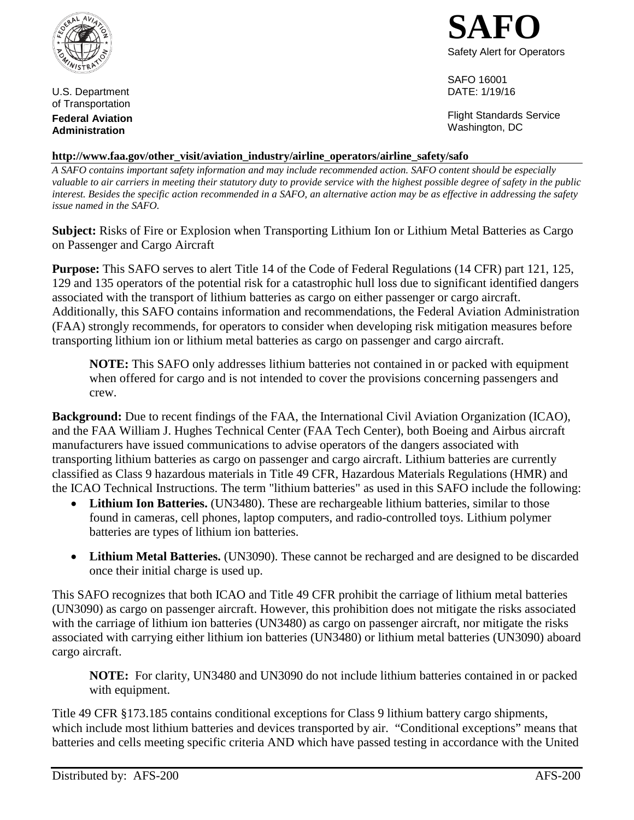

U.S. Department of Transportation **Federal Aviation Administration**



SAFO 16001 DATE: 1/19/16

Flight Standards Service Washington, DC

## **http://www.faa.gov/other\_visit/aviation\_industry/airline\_operators/airline\_safety/safo**

*A SAFO contains important safety information and may include recommended action. SAFO content should be especially valuable to air carriers in meeting their statutory duty to provide service with the highest possible degree of safety in the public interest. Besides the specific action recommended in a SAFO, an alternative action may be as effective in addressing the safety issue named in the SAFO.*

**Subject:** Risks of Fire or Explosion when Transporting Lithium Ion or Lithium Metal Batteries as Cargo on Passenger and Cargo Aircraft

**Purpose:** This SAFO serves to alert Title 14 of the Code of Federal Regulations (14 CFR) part 121, 125, 129 and 135 operators of the potential risk for a catastrophic hull loss due to significant identified dangers associated with the transport of lithium batteries as cargo on either passenger or cargo aircraft. Additionally, this SAFO contains information and recommendations, the Federal Aviation Administration (FAA) strongly recommends, for operators to consider when developing risk mitigation measures before transporting lithium ion or lithium metal batteries as cargo on passenger and cargo aircraft.

**NOTE:** This SAFO only addresses lithium batteries not contained in or packed with equipment when offered for cargo and is not intended to cover the provisions concerning passengers and crew.

**Background:** Due to recent findings of the FAA, the International Civil Aviation Organization (ICAO), and the FAA William J. Hughes Technical Center (FAA Tech Center), both Boeing and Airbus aircraft manufacturers have issued communications to advise operators of the dangers associated with transporting lithium batteries as cargo on passenger and cargo aircraft. Lithium batteries are currently classified as Class 9 hazardous materials in Title 49 CFR, Hazardous Materials Regulations (HMR) and the ICAO Technical Instructions. The term "lithium batteries" as used in this SAFO include the following:

- Lithium Ion Batteries. (UN3480). These are rechargeable lithium batteries, similar to those found in cameras, cell phones, laptop computers, and radio-controlled toys. Lithium polymer batteries are types of lithium ion batteries.
- **Lithium Metal Batteries.** (UN3090). These cannot be recharged and are designed to be discarded once their initial charge is used up.

This SAFO recognizes that both ICAO and Title 49 CFR prohibit the carriage of lithium metal batteries (UN3090) as cargo on passenger aircraft. However, this prohibition does not mitigate the risks associated with the carriage of lithium ion batteries (UN3480) as cargo on passenger aircraft, nor mitigate the risks associated with carrying either lithium ion batteries (UN3480) or lithium metal batteries (UN3090) aboard cargo aircraft.

**NOTE:** For clarity, UN3480 and UN3090 do not include lithium batteries contained in or packed with equipment.

Title 49 CFR §173.185 contains conditional exceptions for Class 9 lithium battery cargo shipments, which include most lithium batteries and devices transported by air. "Conditional exceptions" means that batteries and cells meeting specific criteria AND which have passed testing in accordance with the United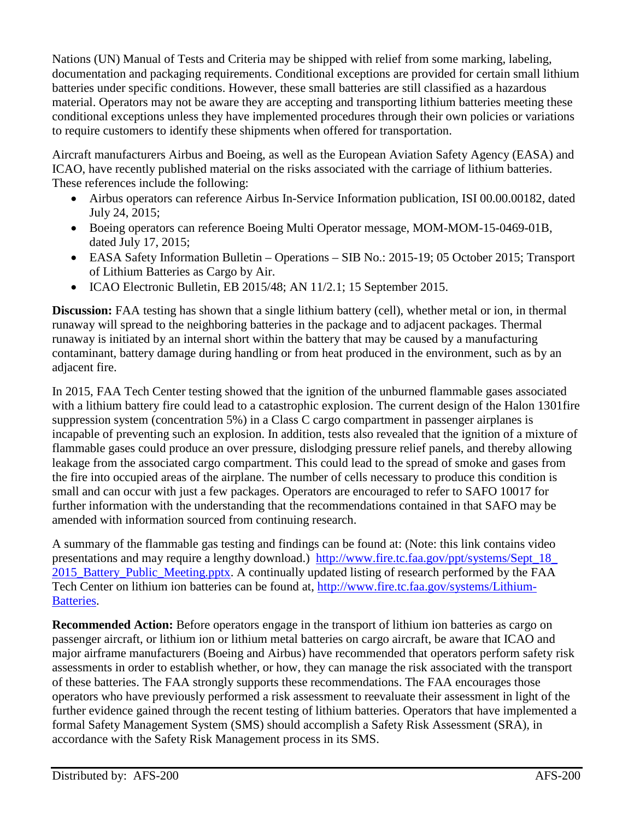Nations (UN) Manual of Tests and Criteria may be shipped with relief from some marking, labeling, documentation and packaging requirements. Conditional exceptions are provided for certain small lithium batteries under specific conditions. However, these small batteries are still classified as a hazardous material. Operators may not be aware they are accepting and transporting lithium batteries meeting these conditional exceptions unless they have implemented procedures through their own policies or variations to require customers to identify these shipments when offered for transportation.

Aircraft manufacturers Airbus and Boeing, as well as the European Aviation Safety Agency (EASA) and ICAO, have recently published material on the risks associated with the carriage of lithium batteries. These references include the following:

- Airbus operators can reference Airbus In-Service Information publication, ISI 00.00.00182, dated July 24, 2015;
- Boeing operators can reference Boeing Multi Operator message, MOM-MOM-15-0469-01B, dated July 17, 2015;
- EASA Safety Information Bulletin Operations SIB No.: 2015-19; 05 October 2015; Transport of Lithium Batteries as Cargo by Air.
- ICAO Electronic Bulletin, EB 2015/48; AN 11/2.1; 15 September 2015.

**Discussion:** FAA testing has shown that a single lithium battery (cell), whether metal or ion, in thermal runaway will spread to the neighboring batteries in the package and to adjacent packages. Thermal runaway is initiated by an internal short within the battery that may be caused by a manufacturing contaminant, battery damage during handling or from heat produced in the environment, such as by an adjacent fire.

In 2015, FAA Tech Center testing showed that the ignition of the unburned flammable gases associated with a lithium battery fire could lead to a catastrophic explosion. The current design of the Halon 1301fire suppression system (concentration 5%) in a Class C cargo compartment in passenger airplanes is incapable of preventing such an explosion. In addition, tests also revealed that the ignition of a mixture of flammable gases could produce an over pressure, dislodging pressure relief panels, and thereby allowing leakage from the associated cargo compartment. This could lead to the spread of smoke and gases from the fire into occupied areas of the airplane. The number of cells necessary to produce this condition is small and can occur with just a few packages. Operators are encouraged to refer to SAFO 10017 for further information with the understanding that the recommendations contained in that SAFO may be amended with information sourced from continuing research.

A summary of the flammable gas testing and findings can be found at: (Note: this link contains video presentations and may require a lengthy download.) http://www.fire.tc.faa.gov/ppt/systems/Sept\_18\_ [2015\\_Battery\\_Public\\_Meeting.pptx. A continually updated listing of research performed by the FAA](http://www.fire.tc.faa.gov/ppt/systems/Sept_18_2015_Battery_Public_Meeting.pptx)  Tech Center on lithium ion batteries can be found at, http://www.fire.tc.faa.gov/systems/Lithium-Batteries.

**Recommended Action:** Before operators engage in the transport of lithium ion batteries as cargo on passenger aircraft, or lithium ion or lithium metal batteries on cargo aircraft, be aware that ICAO and major airframe manufacturers (Boeing and Airbus) have recommended that operators perform safety risk assessments in order to establish whether, or how, they can manage the risk associated with the transport of these batteries. The FAA strongly supports these recommendations. The FAA encourages those operators who have previously performed a risk assessment to reevaluate their assessment in light of the further evidence gained through the recent testing of lithium batteries. Operators that have implemented a formal Safety Management System (SMS) should accomplish a Safety Risk Assessment (SRA), in accordance with the Safety Risk Management process in its SMS.